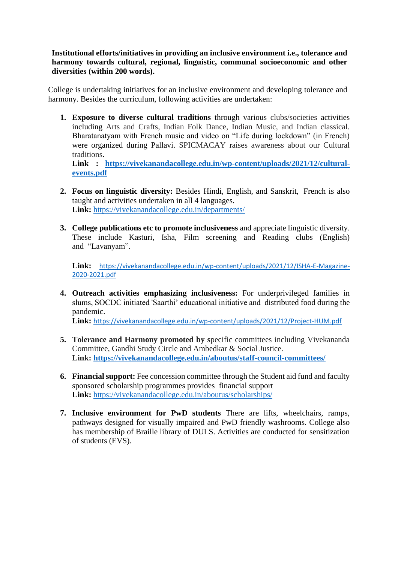**Institutional efforts/initiatives in providing an inclusive environment i.e., tolerance and harmony towards cultural, regional, linguistic, communal socioeconomic and other diversities (within 200 words).**

College is undertaking initiatives for an inclusive environment and developing tolerance and harmony. Besides the curriculum, following activities are undertaken:

**1. Exposure to diverse cultural traditions** through various clubs/societies activities including Arts and Crafts, Indian Folk Dance, Indian Music, and Indian classical. Bharatanatyam with French music and video on "Life during lockdown" (in French) were organized during Pallavi. SPICMACAY raises awareness about our Cultural traditions.

**Link : [https://vivekanandacollege.edu.in/wp-content/uploads/2021/12/cultural](https://vivekanandacollege.edu.in/wp-content/uploads/2021/12/cultural-events.pdf)[events.pdf](https://vivekanandacollege.edu.in/wp-content/uploads/2021/12/cultural-events.pdf)**

- **2. Focus on linguistic diversity:** Besides Hindi, English, and Sanskrit, French is also taught and activities undertaken in all 4 languages. **Link:** <https://vivekanandacollege.edu.in/departments/>
- **3. College publications etc to promote inclusiveness** and appreciate linguistic diversity. These include Kasturi, Isha, Film screening and Reading clubs (English) and "Lavanyam".

**Link:** [https://vivekanandacollege.edu.in/wp-content/uploads/2021/12/ISHA-E-Magazine-](https://vivekanandacollege.edu.in/wp-content/uploads/2021/12/ISHA-E-Magazine-2020-2021.pdf)[2020-2021.pdf](https://vivekanandacollege.edu.in/wp-content/uploads/2021/12/ISHA-E-Magazine-2020-2021.pdf)

**4. Outreach activities emphasizing inclusiveness:** For underprivileged families in slums, SOCDC initiated 'Saarthi' educational initiative and distributed food during the pandemic.

**Link:** <https://vivekanandacollege.edu.in/wp-content/uploads/2021/12/Project-HUM.pdf>

- **5. Tolerance and Harmony promoted by s**pecific committees including Vivekananda Committee, Gandhi Study Circle and Ambedkar & Social Justice. **Link:<https://vivekanandacollege.edu.in/aboutus/staff-council-committees/>**
- **6. Financial support:** Fee concession committee through the Student aid fund and faculty sponsored scholarship programmes provides financial support **Link:** <https://vivekanandacollege.edu.in/aboutus/scholarships/>
- **7. Inclusive environment for PwD students** There are lifts, wheelchairs, ramps, pathways designed for visually impaired and PwD friendly washrooms. College also has membership of Braille library of DULS. Activities are conducted for sensitization of students (EVS).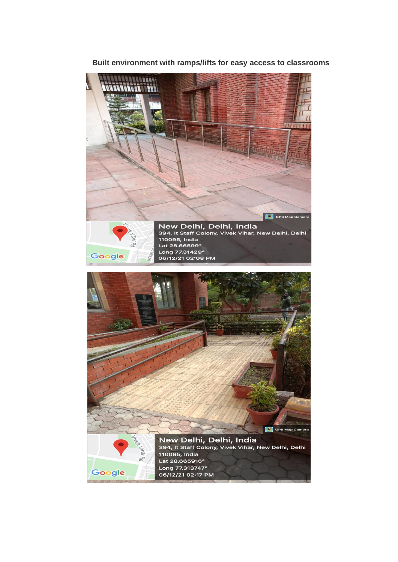## **ANNIBATION** N **RUE**  $111$ C GPS Map Camera New Delhi, Delhi, India<br>394, It Staff Colony, Vivek Vihar, New Delhi, Delhi 110095, India<br>Lat 28.66599° N KC Lat 2000000<br>Long 77.31429°<br>06/12/21 02:08 PM Google **C** GPS Map Camera New Delhi, Delhi, India<br>394, It Staff Colony, Vivek Vihar, New Delhi, Delhi 110095, India Lat 28.665916° Long 77.313747° Google 06/12/21 02:17 PM

## **Built environment with ramps/lifts for easy access to classrooms**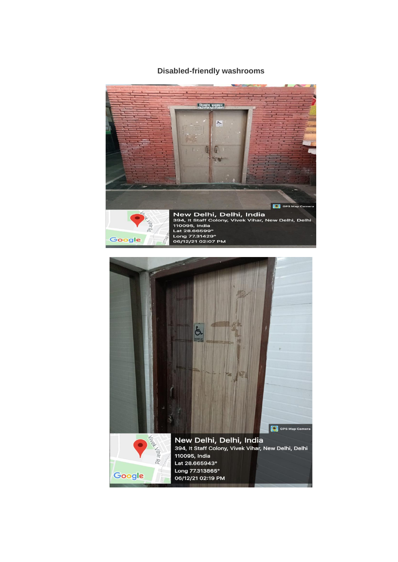## **Disabled-friendly washrooms**



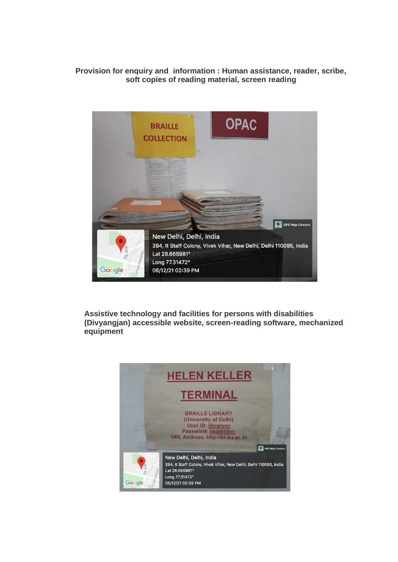## **Provision for enquiry and information : Human assistance, reader, scribe, soft copies of reading material, screen reading**



**Assistive technology and facilities for persons with disabilities (Divyangjan) accessible website, screen-reading software, mechanized equipment**